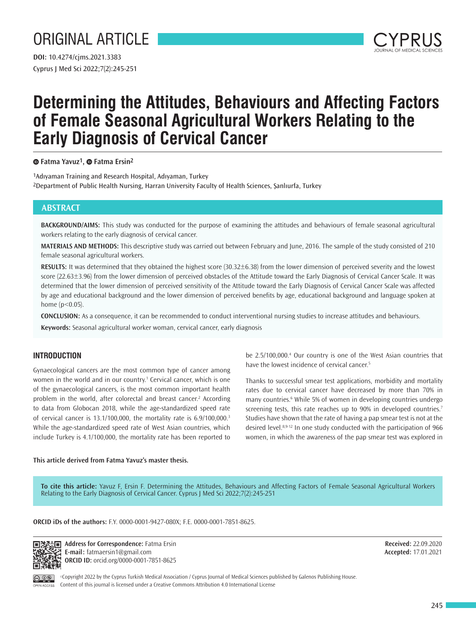# ORIGINAL ARTICLE

Cyprus J Med Sci 2022;7(2):245-251 **DOI:** 10.4274/cjms.2021.3383



## **Determining the Attitudes, Behaviours and Affecting Factors of Female Seasonal Agricultural Workers Relating to the Early Diagnosis of Cervical Cancer**

**Fatma Yavuz1,Fatma Ersin2**

1Adıyaman Training and Research Hospital, Adıyaman, Turkey 2Department of Public Health Nursing, Harran University Faculty of Health Sciences, Şanlıurfa, Turkey

## **ABSTRACT**

**BACKGROUND/AIMS:** This study was conducted for the purpose of examining the attitudes and behaviours of female seasonal agricultural workers relating to the early diagnosis of cervical cancer.

**MATERIALS AND METHODS:** This descriptive study was carried out between February and June, 2016. The sample of the study consisted of 210 female seasonal agricultural workers.

**RESULTS:** It was determined that they obtained the highest score (30.32±6.38) from the lower dimension of perceived severity and the lowest score (22.63±3.96) from the lower dimension of perceived obstacles of the Attitude toward the Early Diagnosis of Cervical Cancer Scale. It was determined that the lower dimension of perceived sensitivity of the Attitude toward the Early Diagnosis of Cervical Cancer Scale was affected by age and educational background and the lower dimension of perceived benefits by age, educational background and language spoken at home  $(p<0.05)$ .

**CONCLUSION:** As a consequence, it can be recommended to conduct interventional nursing studies to increase attitudes and behaviours.

**Keywords:** Seasonal agricultural worker woman, cervical cancer, early diagnosis

## **INTRODUCTION**

Gynaecological cancers are the most common type of cancer among women in the world and in our country.<sup>1</sup> Cervical cancer, which is one of the gynaecological cancers, is the most common important health problem in the world, after colorectal and breast cancer.<sup>2</sup> According to data from Globocan 2018, while the age-standardized speed rate of cervical cancer is 13.1/100,000, the mortality rate is 6.9/100,000.<sup>3</sup> While the age-standardized speed rate of West Asian countries, which include Turkey is 4.1/100,000, the mortality rate has been reported to

be 2.5/100,000.<sup>4</sup> Our country is one of the West Asian countries that have the lowest incidence of cervical cancer.<sup>5</sup>

Thanks to successful smear test applications, morbidity and mortality rates due to cervical cancer have decreased by more than 70% in many countries.<sup>6</sup> While 5% of women in developing countries undergo screening tests, this rate reaches up to 90% in developed countries.<sup>7</sup> Studies have shown that the rate of having a pap smear test is not at the desired level.8,9-12 In one study conducted with the participation of 966 women, in which the awareness of the pap smear test was explored in

#### **This article derived from Fatma Yavuz's master thesis.**

**To cite this article:** Yavuz F, Ersin F. Determining the Attitudes, Behaviours and Affecting Factors of Female Seasonal Agricultural Workers Relating to the Early Diagnosis of Cervical Cancer. Cyprus J Med Sci 2022;7(2):245-251

#### **ORCID iDs of the authors:** F.Y. 0000-0001-9427-080X; F.E. 0000-0001-7851-8625.



**Address for Correspondence:** Fatma Ersin **E-mail:** fatmaersin1@gmail.com **ORCID ID:** orcid.org/0000-0001-7851-8625

**Received:** 22.09.2020 **Accepted:** 17.01.2021

©Copyright 2022 by the Cyprus Turkish Medical Association / Cyprus Journal of Medical Sciences published by Galenos Publishing House. Content of this journal is licensed under a Creative Commons Attribution 4.0 International License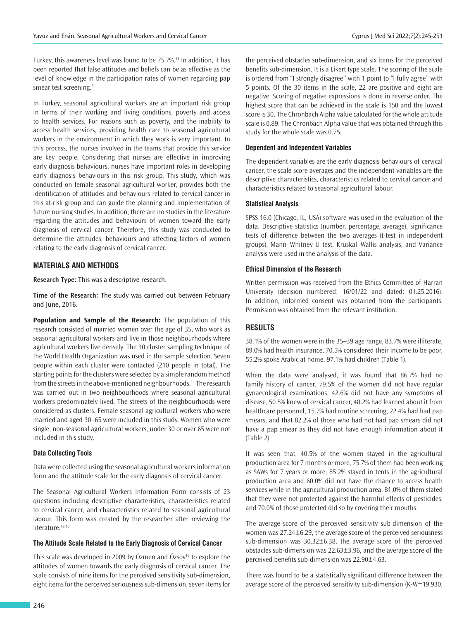Turkey, this awareness level was found to be 75.7%.<sup>13</sup> In addition, it has been reported that false attitudes and beliefs can be as effective as the level of knowledge in the participation rates of women regarding pap smear test screening.<sup>8</sup>

In Turkey, seasonal agricultural workers are an important risk group in terms of their working and living conditions, poverty and access to health services. For reasons such as poverty, and the inability to access health services, providing health care to seasonal agricultural workers in the environment in which they work is very important. In this process, the nurses involved in the teams that provide this service are key people. Considering that nurses are effective in improving early diagnosis behaviours, nurses have important roles in developing early diagnosis behaviours in this risk group. This study, which was conducted on female seasonal agricultural worker, provides both the identification of attitudes and behaviours related to cervical cancer in this at-risk group and can guide the planning and implementation of future nursing studies. In addition, there are no studies in the literature regarding the attitudes and behaviours of women toward the early diagnosis of cervical cancer. Therefore, this study was conducted to determine the attitudes, behaviours and affecting factors of women relating to the early diagnosis of cervical cancer.

#### **MATERIALS AND METHODS**

**Research Type:** This was a descriptive research.

**Time of the Research:** The study was carried out between February and June, 2016.

**Population and Sample of the Research:** The population of this research consisted of married women over the age of 35, who work as seasonal agricultural workers and live in those neighbourhoods where agricultural workers live densely. The 30 cluster sampling technique of the World Health Organization was used in the sample selection. Seven people within each cluster were contacted (210 people in total). The starting points for the clusters were selected by a simple random method from the streets in the above-mentioned neighbourhoods.<sup>14</sup> The research was carried out in two neighbourhoods where seasonal agricultural workers predominately lived. The streets of the neighbourhoods were considered as clusters. Female seasonal agricultural workers who were married and aged 30–65 were included in this study. Women who were single, non-seasonal agricultural workers, under 30 or over 65 were not included in this study.

#### **Data Collecting Tools**

Data were collected using the seasonal agricultural workers information form and the attitude scale for the early diagnosis of cervical cancer.

The Seasonal Agricultural Workers Information Form consists of 23 questions including descriptive characteristics, characteristics related to cervical cancer, and characteristics related to seasonal agricultural labour. This form was created by the researcher after reviewing the literature.<sup>15-17</sup>

#### **The Attitude Scale Related to the Early Diagnosis of Cervical Cancer**

This scale was developed in 2009 by Özmen and Özsoy<sup>16</sup> to explore the attitudes of women towards the early diagnosis of cervical cancer. The scale consists of nine items for the perceived sensitivity sub-dimension, eight items for the perceived seriousness sub-dimension, seven items for

the perceived obstacles sub-dimension, and six items for the perceived benefits sub-dimension. It is a Likert type scale. The scoring of the scale is ordered from "I strongly disagree'' with 1 point to "I fully agree'' with 5 points. Of the 30 items in the scale, 22 are positive and eight are negative. Scoring of negative expressions is done in reverse order. The highest score that can be achieved in the scale is 150 and the lowest score is 30. The Chronbach Alpha value calculated for the whole attitude scale is 0.89. The Chronbach Alpha value that was obtained through this study for the whole scale was 0.75.

#### **Dependent and Independent Variables**

The dependent variables are the early diagnosis behaviours of cervical cancer, the scale score averages and the independent variables are the descriptive characteristics, characteristics related to cervical cancer and characteristics related to seasonal agricultural labour.

#### **Statistical Analysis**

SPSS 16.0 (Chicago, IL, USA) software was used in the evaluation of the data. Descriptive statistics (number, percentage, average), significance tests of difference between the two averages (t-test in independent groups), Mann–Whitney U test, Kruskal–Wallis analysis, and Variance analysis were used in the analysis of the data.

#### **Ethical Dimension of the Research**

Written permission was received from the Ethics Committee of Harran University (decision numbered: 16/01/22 and dated: 01.25.2016). In addition, informed consent was obtained from the participants. Permission was obtained from the relevant institution.

### **RESULTS**

38.1% of the women were in the 35–39 age range, 83.7% were illiterate, 89.0% had health insurance, 70.5% considered their income to be poor, 55.2% spoke Arabic at home, 97.1% had children (Table 1).

When the data were analysed, it was found that 86.7% had no family history of cancer. 79.5% of the women did not have regular gynaecological examinations, 42.6% did not have any symptoms of disease, 50.5% knew of cervical cancer, 48.2% had learned about it from healthcare personnel, 15.7% had routine screening, 22.4% had had pap smears, and that 82.2% of those who had not had pap smears did not have a pap smear as they did not have enough information about it (Table 2).

It was seen that, 40.5% of the women stayed in the agricultural production area for 7 months or more, 75.7% of them had been working as SAWs for 7 years or more, 85.2% stayed in tents in the agricultural production area and 60.0% did not have the chance to access health services while in the agricultural production area, 81.0% of them stated that they were not protected against the harmful effects of pesticides, and 70.0% of those protected did so by covering their mouths.

The average score of the perceived sensitivity sub-dimension of the women was  $27.24 \pm 6.29$ , the average score of the perceived seriousness sub-dimension was 30.32±6.38, the average score of the perceived obstacles sub-dimension was  $22.63 \pm 3.96$ , and the average score of the perceived benefits sub-dimension was 22.90±4.63.

There was found to be a statistically significant difference between the average score of the perceived sensitivity sub-dimension (K-W=19.930,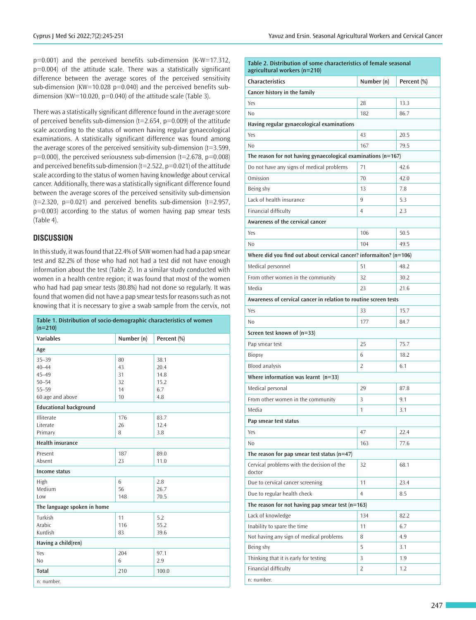p=0.001) and the perceived benefits sub-dimension (K-W=17.312, p=0.004) of the attitude scale. There was a statistically significant difference between the average scores of the perceived sensitivity sub-dimension (KW=10.028 p=0.040) and the perceived benefits subdimension (KW=10.020, p=0.040) of the attitude scale (Table 3).

There was a statistically significant difference found in the average score of perceived benefits sub-dimension ( $t=2.654$ ,  $p=0.009$ ) of the attitude scale according to the status of women having regular gynaecological examinations. A statistically significant difference was found among the average scores of the perceived sensitivity sub-dimension (t=3.599,  $p=0.000$ ), the perceived seriousness sub-dimension (t=2.678,  $p=0.008$ ) and perceived benefits sub-dimension ( $t=2.522$ ,  $p=0.021$ ) of the attitude scale according to the status of women having knowledge about cervical cancer. Additionally, there was a statistically significant difference found between the average scores of the perceived sensitivity sub-dimension  $(t=2.320, p=0.021)$  and perceived benefits sub-dimension  $(t=2.957, p=0.021)$ p=0.003) according to the status of women having pap smear tests (Table 4).

#### **DISCUSSION**

In this study, it was found that 22.4% of SAW women had had a pap smear test and 82.2% of those who had not had a test did not have enough information about the test (Table 2). In a similar study conducted with women in a health centre region; it was found that most of the women who had had pap smear tests (80.8%) had not done so regularly. It was found that women did not have a pap smear tests for reasons such as not knowing that it is necessary to give a swab sample from the cervix, not

| Table 1. Distribution of socio-demographic characteristics of women<br>$(n=210)$ |            |             |  |  |  |  |
|----------------------------------------------------------------------------------|------------|-------------|--|--|--|--|
| <b>Variables</b>                                                                 | Number (n) | Percent (%) |  |  |  |  |
| Age                                                                              |            |             |  |  |  |  |
| $35 - 39$                                                                        | 80         | 38.1        |  |  |  |  |
| $40 - 44$                                                                        | 43         | 20.4        |  |  |  |  |
| $45 - 49$                                                                        | 31         | 14.8        |  |  |  |  |
| $50 - 54$                                                                        | 32         | 15.2        |  |  |  |  |
| $55 - 59$                                                                        | 14         | 6.7         |  |  |  |  |
| 60 age and above                                                                 | 10         | 4.8         |  |  |  |  |
| <b>Educational background</b>                                                    |            |             |  |  |  |  |
| Illiterate                                                                       | 176        | 83.7        |  |  |  |  |
| Literate                                                                         | 26         | 12.4        |  |  |  |  |
| Primary                                                                          | 8          | 3.8         |  |  |  |  |
| <b>Health insurance</b>                                                          |            |             |  |  |  |  |
| Present                                                                          | 187        | 89.0        |  |  |  |  |
| Absent                                                                           | 23         | 11.0        |  |  |  |  |
| <b>Income status</b>                                                             |            |             |  |  |  |  |
| High                                                                             | 6          | 2.8         |  |  |  |  |
| Medium                                                                           | 56         | 26.7        |  |  |  |  |
| Low                                                                              | 148        | 70.5        |  |  |  |  |
| The language spoken in home                                                      |            |             |  |  |  |  |
| Turkish                                                                          | 11         | 5.2         |  |  |  |  |
| Arabic                                                                           | 116        | 55.2        |  |  |  |  |
| Kurdish                                                                          | 83         | 39.6        |  |  |  |  |
| Having a child(ren)                                                              |            |             |  |  |  |  |
| Yes                                                                              | 204        | 97.1        |  |  |  |  |
| N <sub>0</sub>                                                                   | 6          | 2.9         |  |  |  |  |
| <b>Total</b>                                                                     | 210        | 100.0       |  |  |  |  |
| n: number.                                                                       |            |             |  |  |  |  |

| Table 2. Distribution of some characteristics of female seasonal<br>agricultural workers (n=210) |                |             |  |  |  |  |  |  |  |
|--------------------------------------------------------------------------------------------------|----------------|-------------|--|--|--|--|--|--|--|
| <b>Characteristics</b>                                                                           | Number (n)     | Percent (%) |  |  |  |  |  |  |  |
| Cancer history in the family                                                                     |                |             |  |  |  |  |  |  |  |
| Yes                                                                                              | 28             | 13.3        |  |  |  |  |  |  |  |
| N <sub>0</sub>                                                                                   | 182            | 86.7        |  |  |  |  |  |  |  |
| Having regular gynaecological examinations                                                       |                |             |  |  |  |  |  |  |  |
| Yes                                                                                              | 43             | 20.5        |  |  |  |  |  |  |  |
| No                                                                                               | 167            | 79.5        |  |  |  |  |  |  |  |
| The reason for not having gynaecological examinations (n=167)                                    |                |             |  |  |  |  |  |  |  |
| Do not have any signs of medical problems                                                        | 71             | 42.6        |  |  |  |  |  |  |  |
| Omission                                                                                         | 70             | 42.0        |  |  |  |  |  |  |  |
| Being shy                                                                                        | 13             | 7.8         |  |  |  |  |  |  |  |
| Lack of health insurance                                                                         | 9              | 5.3         |  |  |  |  |  |  |  |
| Financial difficulty                                                                             | 4              | 2.3         |  |  |  |  |  |  |  |
| Awareness of the cervical cancer                                                                 |                |             |  |  |  |  |  |  |  |
| Yes                                                                                              | 106            | 50.5        |  |  |  |  |  |  |  |
| No                                                                                               | 104            | 49.5        |  |  |  |  |  |  |  |
| Where did you find out about cervical cancer? informaiton? (n=106)                               |                |             |  |  |  |  |  |  |  |
| Medical personnel                                                                                | 51             | 48.2        |  |  |  |  |  |  |  |
| From other women in the community                                                                | 32             | 30.2        |  |  |  |  |  |  |  |
| Media                                                                                            | 23             | 21.6        |  |  |  |  |  |  |  |
| Awareness of cervical cancer in relation to routine screen tests                                 |                |             |  |  |  |  |  |  |  |
| Yes                                                                                              | 33             | 15.7        |  |  |  |  |  |  |  |
| No                                                                                               | 177            | 84.7        |  |  |  |  |  |  |  |
| Screen test known of $(n=33)$                                                                    |                |             |  |  |  |  |  |  |  |
| Pap smear test                                                                                   | 25             | 75.7        |  |  |  |  |  |  |  |
| Biopsy                                                                                           | 6              | 18.2        |  |  |  |  |  |  |  |
| <b>Blood analysis</b>                                                                            | 2              | 6.1         |  |  |  |  |  |  |  |
| Where information was learnt $(n=33)$                                                            |                |             |  |  |  |  |  |  |  |
| Medical personal                                                                                 | 29             | 87.8        |  |  |  |  |  |  |  |
| From other women in the community                                                                | 3              | 9.1         |  |  |  |  |  |  |  |
| Media                                                                                            | $\mathbf{1}$   | 3.1         |  |  |  |  |  |  |  |
| Pap smear test status                                                                            |                |             |  |  |  |  |  |  |  |
| Yes                                                                                              | 47             | 22.4        |  |  |  |  |  |  |  |
| No                                                                                               | 163            | 77.6        |  |  |  |  |  |  |  |
| The reason for pap smear test status ( $n=47$ )                                                  |                |             |  |  |  |  |  |  |  |
| Cervical problems with the decision of the<br>doctor                                             | 32             | 68.1        |  |  |  |  |  |  |  |
| Due to cervical cancer screening                                                                 | 11             | 23.4        |  |  |  |  |  |  |  |
| Due to regular health check                                                                      | $\overline{4}$ | 8.5         |  |  |  |  |  |  |  |
| The reason for not having pap smear test $(n=163)$                                               |                |             |  |  |  |  |  |  |  |
| Lack of knowledge                                                                                | 134            | 82.2        |  |  |  |  |  |  |  |
| Inability to spare the time                                                                      | 11             | 6.7         |  |  |  |  |  |  |  |
| Not having any sign of medical problems                                                          | 8              | 4.9         |  |  |  |  |  |  |  |
| Being shy                                                                                        | 5              | 3.1         |  |  |  |  |  |  |  |
| Thinking that it is early for testing                                                            | 3              | 1.9         |  |  |  |  |  |  |  |
| Financial difficulty                                                                             | 2              | 1.2         |  |  |  |  |  |  |  |
| n: numher                                                                                        |                |             |  |  |  |  |  |  |  |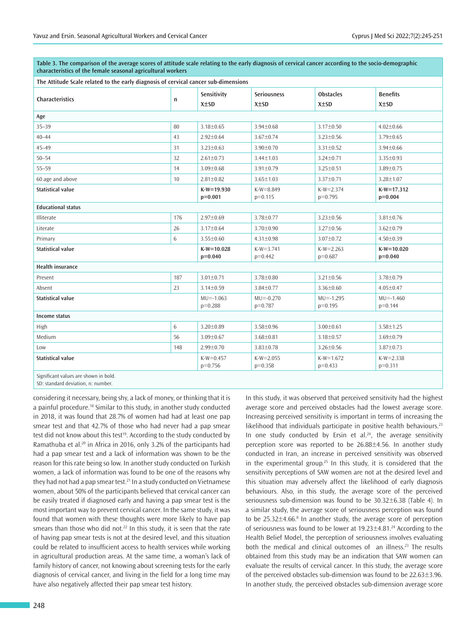| characteristics of the female seasonal agricultural workers                         |     |                             |                                  |                                |                               |  |  |
|-------------------------------------------------------------------------------------|-----|-----------------------------|----------------------------------|--------------------------------|-------------------------------|--|--|
| The Attitude Scale related to the early diagnosis of cervical cancer sub-dimensions |     |                             |                                  |                                |                               |  |  |
| <b>Characteristics</b>                                                              | n   | Sensitivity<br>$X \pm SD$   | <b>Seriousness</b><br>$X \pm SD$ | <b>Obstacles</b><br>$X \pm SD$ | <b>Benefits</b><br>$X \pm SD$ |  |  |
| Age                                                                                 |     |                             |                                  |                                |                               |  |  |
| $35 - 39$                                                                           | 80  | $3.18 \pm 0.65$             | $3.94 \pm 0.68$                  | 3.17±0.50                      | $4.02 \pm 0.66$               |  |  |
| $40 - 44$                                                                           | 43  | $2.92 \pm 0.64$             | $3.67 \pm 0.74$                  | $3.23 \pm 0.56$                | $3.79 \pm 0.65$               |  |  |
| $45 - 49$                                                                           | 31  | $3.23 \pm 0.63$             | $3.90 \pm 0.70$                  | $3.31 \pm 0.52$                | $3.94 \pm 0.66$               |  |  |
| $50 - 54$                                                                           | 32  | $2.61 \pm 0.73$             | $3.44 \pm 1.03$                  | $3.24 \pm 0.71$                | $3.35 \pm 0.93$               |  |  |
| $55 - 59$                                                                           | 14  | $3.09 \pm 0.68$             | $3.91 \pm 0.79$                  | 3.25±0.51                      | $3.89 \pm 0.75$               |  |  |
| 60 age and above                                                                    | 10  | $2.81 \pm 0.82$             | $3.65 \pm 1.03$                  | 3.37±0.71                      | 3.28±1.07                     |  |  |
| <b>Statistical value</b>                                                            |     | $K-W = 19.930$<br>$p=0.001$ | $K-W = 8.849$<br>$p=0.115$       | $K-W = 2.374$<br>$p=0.795$     | $K-W=17.312$<br>$p=0.004$     |  |  |
| <b>Educational status</b>                                                           |     |                             |                                  |                                |                               |  |  |
| Illiterate                                                                          | 176 | 2.97±0.69                   | 3.78±0.77                        | $3.23 \pm 0.56$                | $3.81 \pm 0.76$               |  |  |
| Literate                                                                            | 26  | 3.17±0.64                   | 3.70±0.90                        | $3.27 \pm 0.56$                | $3.62 \pm 0.79$               |  |  |
| Primary                                                                             | 6   | $3.55 \pm 0.60$             | $4.31 \pm 0.98$                  | $3.07 \pm 0.72$                | $4.50 \pm 0.39$               |  |  |
| <b>Statistical value</b>                                                            |     | $K-W=10.028$<br>$p=0.040$   | $K-W=3.741$<br>$p=0.442$         | $K-W=2.263$<br>$p=0.687$       | $K-W=10.020$<br>$p=0.040$     |  |  |
| <b>Health insurance</b>                                                             |     |                             |                                  |                                |                               |  |  |
| Present                                                                             | 187 | $3.01 \pm 0.71$             | 3.78±0.80                        | $3.21 \pm 0.56$                | 3.78±0.79                     |  |  |
| Absent                                                                              | 23  | $3.14 \pm 0.59$             | 3.84±0.77                        | $3.36 \pm 0.60$                | $4.05 \pm 0.47$               |  |  |
| Statistical value                                                                   |     | $MU = -1.063$<br>$p=0.288$  | $MU = -0.270$<br>$p=0.787$       | $MU = -1.295$<br>$p=0.195$     | $MU = -1.460$<br>$p=0.144$    |  |  |
| Income status                                                                       |     |                             |                                  |                                |                               |  |  |
| High                                                                                | 6   | 3.20±0.89                   | 3.58±0.96                        | $3.00 \pm 0.61$                | $3.58 \pm 1.25$               |  |  |
| Medium                                                                              | 56  | $3.09 \pm 0.67$             | $3.68 \pm 0.81$                  | $3.18 \pm 0.57$                | $3.69 \pm 0.79$               |  |  |
| Low                                                                                 | 148 | 2.99±0.70                   | $3.83 \pm 0.78$                  | $3.26 \pm 0.56$                | 3.87±0.73                     |  |  |
| <b>Statistical value</b>                                                            |     | $K-W=0.457$<br>$p=0.756$    | $K-W = 2.055$<br>$p=0.358$       | $K-W=1.672$<br>$p=0.433$       | $K-W = 2.338$<br>$p=0.311$    |  |  |
| where the companies for a companies and computer the first of                       |     |                             |                                  |                                |                               |  |  |

**Table 3. The comparison of the average scores of attitude scale relating to the early diagnosis of cervical cancer according to the socio-demographic** 

Significant values are shown in bold.

SD: standard deviation, n: number.

considering it necessary, being shy, a lack of money, or thinking that it is a painful procedure.<sup>18</sup> Similar to this study, in another study conducted in 2018, it was found that 28.7% of women had had at least one pap smear test and that 42.7% of those who had never had a pap smear test did not know about this test<sup>19</sup>. According to the study conducted by Ramathuba et al.<sup>20</sup> in Africa in 2016, only 3.2% of the participants had had a pap smear test and a lack of information was shown to be the reason for this rate being so low. In another study conducted on Turkish women, a lack of information was found to be one of the reasons why they had not had a pap smear test.<sup>21</sup> In a study conducted on Vietnamese women, about 50% of the participants believed that cervical cancer can be easily treated if diagnosed early and having a pap smear test is the most important way to prevent cervical cancer. In the same study, it was found that women with these thoughts were more likely to have pap smears than those who did not.<sup>22</sup> In this study, it is seen that the rate of having pap smear tests is not at the desired level, and this situation could be related to insufficient access to health services while working in agricultural production areas. At the same time, a woman's lack of family history of cancer, not knowing about screening tests for the early diagnosis of cervical cancer, and living in the field for a long time may have also negatively affected their pap smear test history.

In this study, it was observed that perceived sensitivity had the highest average score and perceived obstacles had the lowest average score. Increasing perceived sensitivity is important in terms of increasing the likelihood that individuals participate in positive health behaviours.<sup>23</sup> In one study conducted by Ersin et al. $24$ , the average sensitivity perception score was reported to be 26.88±4.56. In another study conducted in Iran, an increase in perceived sensitivity was observed in the experimental group.<sup>25</sup> In this study, it is considered that the sensitivity perceptions of SAW women are not at the desired level and this situation may adversely affect the likelihood of early diagnosis behaviours. Also, in this study, the average score of the perceived seriousness sub-dimension was found to be 30.32±6.38 (Table 4). In a similar study, the average score of seriousness perception was found to be  $25.32 \pm 4.66$ .<sup>8</sup> In another study, the average score of perception of seriousness was found to be lower at  $19.23 \pm 4.81$ .<sup>24</sup> According to the Health Belief Model, the perception of seriousness involves evaluating both the medical and clinical outcomes of an illness.<sup>23</sup> The results obtained from this study may be an indication that SAW women can evaluate the results of cervical cancer. In this study, the average score of the perceived obstacles sub-dimension was found to be 22.63±3.96. In another study, the perceived obstacles sub-dimension average score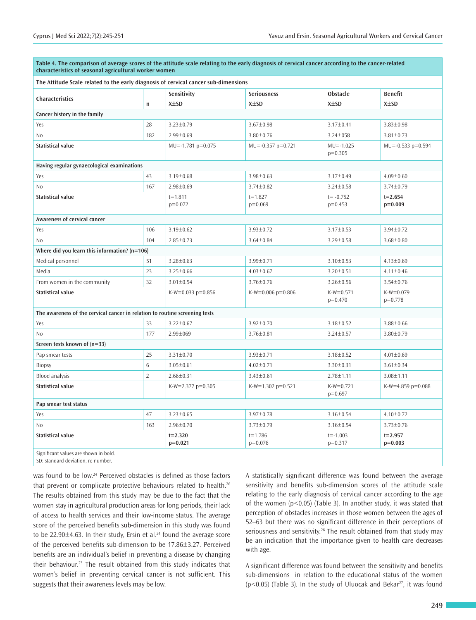| Table 4. The comparison of average scores of the attitude scale relating to the early diagnosis of cervical cancer according to the cancer-related<br>characteristics of seasonal agricultural worker women |                |                          |                          |                            |                          |  |  |  |  |  |
|-------------------------------------------------------------------------------------------------------------------------------------------------------------------------------------------------------------|----------------|--------------------------|--------------------------|----------------------------|--------------------------|--|--|--|--|--|
| The Attitude Scale related to the early diagnosis of cervical cancer sub-dimensions                                                                                                                         |                |                          |                          |                            |                          |  |  |  |  |  |
| <b>Characteristics</b>                                                                                                                                                                                      |                | Sensitivity              | <b>Seriousness</b>       | <b>Obstacle</b>            | <b>Benefit</b>           |  |  |  |  |  |
|                                                                                                                                                                                                             | $\mathsf{n}$   | $X \pm SD$               | $X \pm SD$               | $X \pm SD$                 | $X \pm SD$               |  |  |  |  |  |
| Cancer history in the family                                                                                                                                                                                |                |                          |                          |                            |                          |  |  |  |  |  |
| Yes                                                                                                                                                                                                         | 28             | $3.23 \pm 0.79$          | 3.67±0.98                | 3.17±0.41                  | $3.83 \pm 0.98$          |  |  |  |  |  |
| No                                                                                                                                                                                                          | 182            | $2.99 \pm 0.69$          | 3.80±0.76                | 3.24±058                   | $3.81 \pm 0.73$          |  |  |  |  |  |
| <b>Statistical value</b>                                                                                                                                                                                    |                | $MU = -1.781 p = 0.075$  | $MU = -0.357$ p=0.721    | $MU = -1.025$<br>$p=0.305$ | $MU = -0.533$ p=0.594    |  |  |  |  |  |
| Having regular gynaecological examinations                                                                                                                                                                  |                |                          |                          |                            |                          |  |  |  |  |  |
| Yes                                                                                                                                                                                                         | 43             | $3.19 \pm 0.68$          | $3.98 \pm 0.63$          | 3.17±0.49                  | $4.09 \pm 0.60$          |  |  |  |  |  |
| No                                                                                                                                                                                                          | 167            | $2.98 \pm 0.69$          | $3.74 \pm 0.82$          | $3.24 \pm 0.58$            | $3.74 \pm 0.79$          |  |  |  |  |  |
| <b>Statistical value</b>                                                                                                                                                                                    |                | $t = 1.811$<br>$p=0.072$ | $t = 1.827$<br>$p=0.069$ | $t = -0.752$<br>$p=0.453$  | $t = 2.654$<br>$p=0.009$ |  |  |  |  |  |
| Awareness of cervical cancer                                                                                                                                                                                |                |                          |                          |                            |                          |  |  |  |  |  |
| Yes                                                                                                                                                                                                         | 106            | $3.19 \pm 0.62$          | 3.93±0.72                | 3.17±0.53                  | 3.94±0.72                |  |  |  |  |  |
| N <sub>0</sub>                                                                                                                                                                                              | 104            | $2.85 \pm 0.73$          | $3.64 \pm 0.84$          | $3.29 \pm 0.58$            | $3.68 \pm 0.80$          |  |  |  |  |  |
| Where did you learn this information? (n=106)                                                                                                                                                               |                |                          |                          |                            |                          |  |  |  |  |  |
| Medical personnel                                                                                                                                                                                           | 51             | $3.28 \pm 0.63$          | $3.99 \pm 0.71$          | $3.10 \pm 0.53$            | $4.13 \pm 0.69$          |  |  |  |  |  |
| Media                                                                                                                                                                                                       | 23             | $3.25 \pm 0.66$          | $4.03 \pm 0.67$          | $3.20 \pm 0.51$            | $4.11 \pm 0.46$          |  |  |  |  |  |
| From women in the community                                                                                                                                                                                 | 32             | $3.01 \pm 0.54$          | 3.76±0.76                | $3.26 \pm 0.56$            | $3.54 \pm 0.76$          |  |  |  |  |  |
| <b>Statistical value</b>                                                                                                                                                                                    |                | K-W=0.033 $p=0.856$      | K-W=0.006 $p=0.806$      | $K-W=0.571$<br>$p=0.470$   | $K-W=0.079$<br>$p=0.778$ |  |  |  |  |  |
| The awareness of the cervical cancer in relation to routine screening tests                                                                                                                                 |                |                          |                          |                            |                          |  |  |  |  |  |
| Yes                                                                                                                                                                                                         | 33             | $3.22 \pm 0.67$          | 3.92±0.70                | $3.18 \pm 0.52$            | $3.88 \pm 0.66$          |  |  |  |  |  |
| N <sub>0</sub>                                                                                                                                                                                              | 177            | 2.99±069                 | $3.76 \pm 0.81$          | $3.24 \pm 0.57$            | $3.80 \pm 0.79$          |  |  |  |  |  |
| Screen tests known of (n=33)                                                                                                                                                                                |                |                          |                          |                            |                          |  |  |  |  |  |
| Pap smear tests                                                                                                                                                                                             | 25             | $3.31 \pm 0.70$          | 3.93±0.71                | $3.18 \pm 0.52$            | $4.01 \pm 0.69$          |  |  |  |  |  |
| <b>Biopsy</b>                                                                                                                                                                                               | 6              | $3.05 \pm 0.61$          | $4.02 \pm 0.71$          | $3.30 \pm 0.31$            | $3.61 \pm 0.34$          |  |  |  |  |  |
| <b>Blood analysis</b>                                                                                                                                                                                       | $\overline{2}$ | $2.66 \pm 0.31$          | $3.43 \pm 0.61$          | $2.78 \pm 1.11$            | $3.08 \pm 1.11$          |  |  |  |  |  |
| <b>Statistical value</b>                                                                                                                                                                                    |                | K-W=2.377 p=0.305        | K-W=1.302 p=0.521        | $K-W=0.721$<br>$p=0.697$   | K-W=4.859 p=0.088        |  |  |  |  |  |
| Pap smear test status                                                                                                                                                                                       |                |                          |                          |                            |                          |  |  |  |  |  |
| Yes                                                                                                                                                                                                         | 47             | $3.23 \pm 0.65$          | 3.97±0.78                | $3.16 \pm 0.54$            | $4.10 \pm 0.72$          |  |  |  |  |  |
| N <sub>0</sub>                                                                                                                                                                                              | 163            | 2.96±0.70                | 3.73±0.79                | $3.16 \pm 0.54$            | $3.73 \pm 0.76$          |  |  |  |  |  |
| <b>Statistical value</b>                                                                                                                                                                                    |                | $t = 2.320$<br>$p=0.021$ | $t = 1.786$<br>$p=0.076$ | $t = -1.003$<br>$p=0.317$  | $t = 2.957$<br>$p=0.003$ |  |  |  |  |  |
| Significant values are shown in bold.<br>SD: standard deviation, n: number.                                                                                                                                 |                |                          |                          |                            |                          |  |  |  |  |  |

was found to be low.<sup>24</sup> Perceived obstacles is defined as those factors that prevent or complicate protective behaviours related to health.<sup>26</sup> The results obtained from this study may be due to the fact that the women stay in agricultural production areas for long periods, their lack of access to health services and their low-income status. The average score of the perceived benefits sub-dimension in this study was found to be 22.90 $\pm$ 4.63. In their study, Ersin et al.<sup>24</sup> found the average score of the perceived benefits sub-dimension to be 17.86±3.27. Perceived benefits are an individual's belief in preventing a disease by changing their behaviour.<sup>23</sup> The result obtained from this study indicates that women's belief in preventing cervical cancer is not sufficient. This suggests that their awareness levels may be low.

A statistically significant difference was found between the average sensitivity and benefits sub-dimension scores of the attitude scale relating to the early diagnosis of cervical cancer according to the age of the women  $(p<0.05)$  (Table 3). In another study, it was stated that perception of obstacles increases in those women between the ages of 52–63 but there was no significant difference in their perceptions of seriousness and sensitivity.<sup>26</sup> The result obtained from that study may be an indication that the importance given to health care decreases with age.

A significant difference was found between the sensitivity and benefits sub-dimensions in relation to the educational status of the women ( $p$ <0.05) (Table 3). In the study of Uluocak and Bekar<sup>27</sup>, it was found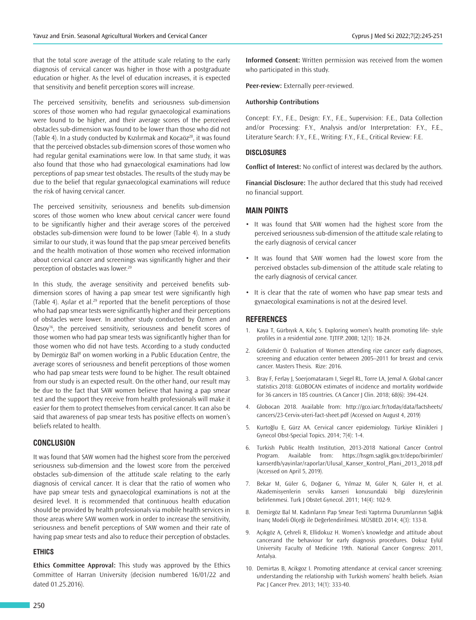that the total score average of the attitude scale relating to the early diagnosis of cervical cancer was higher in those with a postgraduate education or higher. As the level of education increases, it is expected that sensitivity and benefit perception scores will increase.

The perceived sensitivity, benefits and seriousness sub-dimension scores of those women who had regular gynaecological examinations were found to be higher, and their average scores of the perceived obstacles sub-dimension was found to be lower than those who did not (Table 4). In a study conducted by Kızılırmak and Kocaöz $^{28}$ , it was found that the perceived obstacles sub-dimension scores of those women who had regular genital examinations were low. In that same study, it was also found that those who had gynaecological examinations had low perceptions of pap smear test obstacles. The results of the study may be due to the belief that regular gynaecological examinations will reduce the risk of having cervical cancer.

The perceived sensitivity, seriousness and benefits sub-dimension scores of those women who knew about cervical cancer were found to be significantly higher and their average scores of the perceived obstacles sub-dimension were found to be lower (Table 4). In a study similar to our study, it was found that the pap smear perceived benefits and the health motivation of those women who received information about cervical cancer and screenings was significantly higher and their perception of obstacles was lower.<sup>29</sup>

In this study, the average sensitivity and perceived benefits subdimension scores of having a pap smear test were significantly high (Table 4). Aşılar et al.<sup>29</sup> reported that the benefit perceptions of those who had pap smear tests were significantly higher and their perceptions of obstacles were lower. In another study conducted by Özmen and Özsoy<sup>16</sup>, the perceived sensitivity, seriousness and benefit scores of those women who had pap smear tests was significantly higher than for those women who did not have tests. According to a study conducted by Demirgöz Bal<sup>8</sup> on women working in a Public Education Centre, the average scores of seriousness and benefit perceptions of those women who had pap smear tests were found to be higher. The result obtained from our study is an expected result. On the other hand, our result may be due to the fact that SAW women believe that having a pap smear test and the support they receive from health professionals will make it easier for them to protect themselves from cervical cancer. It can also be said that awareness of pap smear tests has positive effects on women's beliefs related to health.

#### **CONCLUSION**

It was found that SAW women had the highest score from the perceived seriousness sub-dimension and the lowest score from the perceived obstacles sub-dimension of the attitude scale relating to the early diagnosis of cervical cancer. It is clear that the ratio of women who have pap smear tests and gynaecological examinations is not at the desired level. It is recommended that continuous health education should be provided by health professionals via mobile health services in those areas where SAW women work in order to increase the sensitivity, seriousness and benefit perceptions of SAW women and their rate of having pap smear tests and also to reduce their perception of obstacles.

#### **ETHICS**

**Ethics Committee Approval:** This study was approved by the Ethics Committee of Harran University (decision numbered 16/01/22 and dated 01.25.2016).

**Informed Consent:** Written permission was received from the women who participated in this study.

**Peer-review:** Externally peer-reviewed.

#### **Authorship Contributions**

Concept: F.Y., F.E., Design: F.Y., F.E., Supervision: F.E., Data Collection and/or Processing: F.Y., Analysis and/or Interpretation: F.Y., F.E., Literature Search: F.Y., F.E., Writing: F.Y., F.E., Critical Review: F.E.

#### **DISCLOSURES**

**Conflict of Interest:** No conflict of interest was declared by the authors.

**Financial Disclosure:** The author declared that this study had received no financial support.

#### **MAIN POINTS**

- It was found that SAW women had the highest score from the perceived seriousness sub-dimension of the attitude scale relating to the early diagnosis of cervical cancer
- It was found that SAW women had the lowest score from the perceived obstacles sub-dimension of the attitude scale relating to the early diagnosis of cervical cancer.
- It is clear that the rate of women who have pap smear tests and gynaecological examinations is not at the desired level.

#### **REFERENCES**

- Kaya T, Gürbıyık A, Kılıç S. Exploring women's health promoting life- style profiles in a residential zone. TJTFP. 2008; 12(1): 18-24.
- 2. Gökdemir Ö. Evaluation of Women attending rize cancer early diagnoses, screening and education center between 2005–2011 for breast and cervix cancer. Masters Thesis. Rize: 2016.
- 3. Bray F, Ferlay J, Soerjomataram I, Siegel RL, Torre LA, Jemal A. Global cancer statistics 2018: GLOBOCAN estimates of incidence and mortality worldwide for 36 cancers in 185 countries. CA Cancer J Clin. 2018; 68(6): 394-424.
- 4. Globocan 2018. Available from: http://gco.iarc.fr/today/data/factsheets/ cancers/23-Cervix-uteri-fact-sheet.pdf (Accessed on August 4, 2019)
- 5. Kurtoğlu E, Gürz AA. Cervical cancer epidemiology. Türkiye Klinikleri J Gynecol Obst-Special Topics. 2014; 7(4): 1-4.
- 6. Turkish Public Health Institution, 2013-2018 National Cancer Control Program. Available from: https://hsgm.saglik.gov.tr/depo/birimler/ kanserdb/yayinlar/raporlar/Ulusal\_Kanser\_Kontrol\_Plani\_2013\_2018.pdf (Accessed on April 5, 2019).
- 7. Bekar M, Güler G, Doğaner G, Yılmaz M, Güler N, Güler H, et al. Akademisyenlerin serviks kanseri konusundaki bilgi düzeylerinin belirlenmesi. Turk J Obstet Gynecol. 2011; 14(4): 102-9.
- 8. Demirgöz Bal M. Kadınların Pap Smear Testi Yaptırma Durumlarının Sağlık İnanç Modeli Ölçeği ile Değerlendirilmesi. MÜSBED. 2014; 4(3): 133-8.
- 9. Açıkgöz A, Çehreli R, Ellidokuz H. Women's knowledge and attitude about cancerand the behaviour for early diagnosis procedures. Dokuz Eylül University Faculty of Medicine 19th. National Cancer Congress: 2011, Antalya.
- 10. Demirtas B, Acikgoz I. Promoting attendance at cervical cancer screening: understanding the relationship with Turkish womens' health beliefs. Asian Pac J Cancer Prev. 2013; 14(1): 333-40.